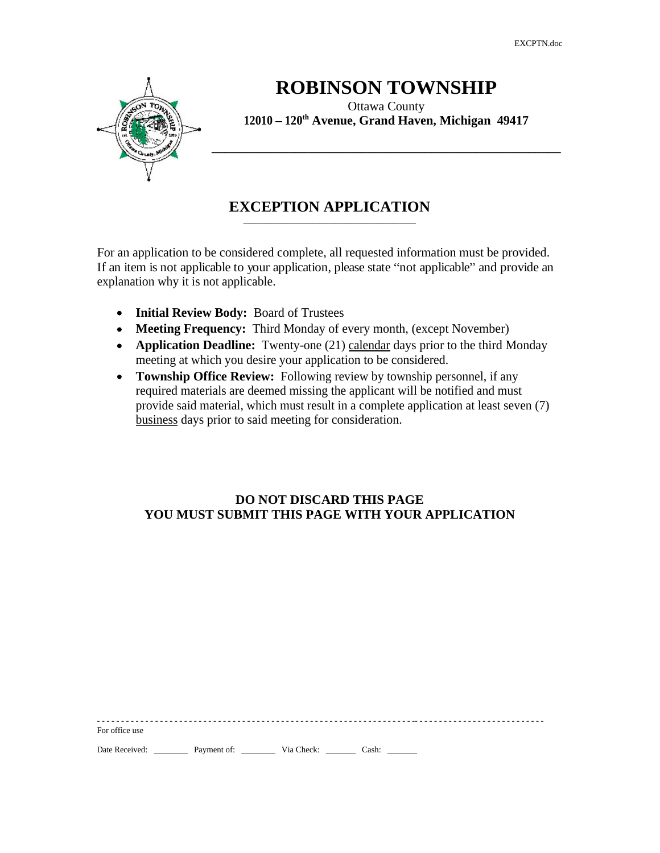EXCPTN.doc

\_\_\_\_\_\_\_\_\_\_\_\_\_\_\_\_\_\_\_\_\_\_\_\_\_\_\_\_\_\_\_\_\_\_\_\_\_\_\_\_



## **ROBINSON TOWNSHIP**

Ottawa County **12010 120th Avenue, Grand Haven, Michigan 49417**

## **EXCEPTION APPLICATION**

For an application to be considered complete, all requested information must be provided. If an item is not applicable to your application, please state "not applicable" and provide an explanation why it is not applicable.

- **Initial Review Body:** Board of Trustees
- **Meeting Frequency:** Third Monday of every month, (except November)
- **Application Deadline:** Twenty-one (21) calendar days prior to the third Monday meeting at which you desire your application to be considered.
- **Township Office Review:** Following review by township personnel, if any required materials are deemed missing the applicant will be notified and must provide said material, which must result in a complete application at least seven (7) business days prior to said meeting for consideration.

#### **DO NOT DISCARD THIS PAGE YOU MUST SUBMIT THIS PAGE WITH YOUR APPLICATION**

- - - - - - - - - - - - - - - - - - - - - - - - - - - - - - - - - - - - - - - - - - - - - - - - - - - - - - - - - - - - - - - - - -- - - - - - - - - - - - - - - - - - - - - - - - - - - For office use the state of the state of the state of the state of the state of the state of the state of the state of the state of the state of the state of the state of the state of the state of the state of the state of

Date Received: \_\_\_\_\_\_\_\_\_\_\_ Payment of: \_\_\_\_\_\_\_\_\_\_\_\_ Via Check: \_\_\_\_\_\_\_\_\_\_ Cash: \_\_\_\_\_\_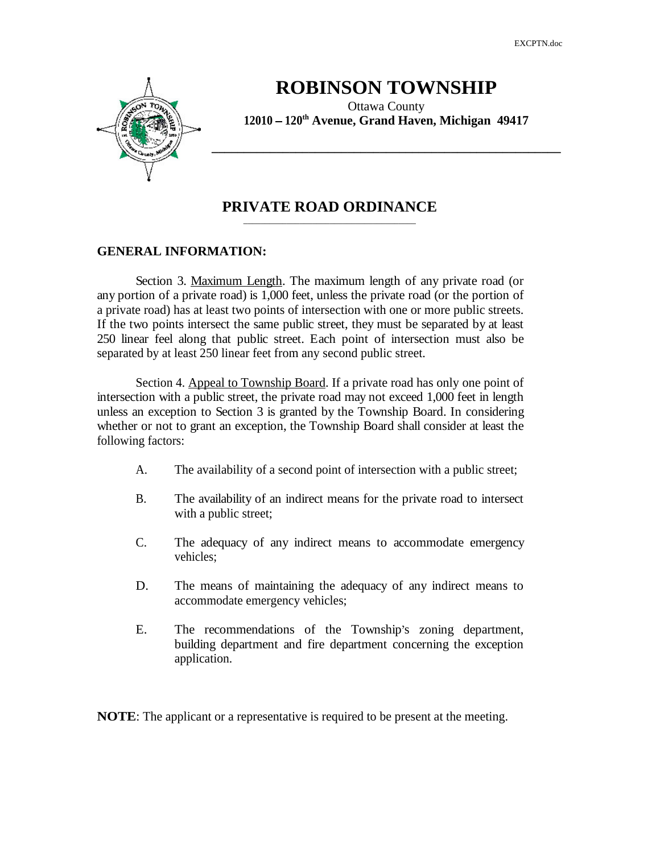EXCPTN.doc

**\_\_\_\_\_\_\_\_\_\_\_\_\_\_\_\_\_\_\_\_\_\_\_\_\_\_\_\_\_\_\_\_\_\_\_\_\_\_\_\_\_\_\_\_\_\_\_\_\_\_\_\_\_\_**

 $\overline{\phantom{a}}$  , and the contract of the contract of the contract of the contract of the contract of the contract of the contract of the contract of the contract of the contract of the contract of the contract of the contrac



## **ROBINSON TOWNSHIP**

Ottawa County **12010 120th Avenue, Grand Haven, Michigan 49417**

### **PRIVATE ROAD ORDINANCE**

#### **GENERAL INFORMATION:**

Section 3. Maximum Length. The maximum length of any private road (or any portion of a private road) is 1,000 feet, unless the private road (or the portion of a private road) has at least two points of intersection with one or more public streets. If the two points intersect the same public street, they must be separated by at least 250 linear feel along that public street. Each point of intersection must also be separated by at least 250 linear feet from any second public street.

Section 4. Appeal to Township Board. If a private road has only one point of intersection with a public street, the private road may not exceed 1,000 feet in length unless an exception to Section 3 is granted by the Township Board. In considering whether or not to grant an exception, the Township Board shall consider at least the following factors:

- A. The availability of a second point of intersection with a public street;
- B. The availability of an indirect means for the private road to intersect with a public street;
- C. The adequacy of any indirect means to accommodate emergency vehicles; which is a set of the set of the set of the set of the set of the set of the set of the set of the set of the set of the set of the set of the set of the set of the set of the set of the set of the set of the set
- D. The means of maintaining the adequacy of any indirect means to accommodate emergency vehicles;
- E. The recommendations of the Township's zoning department, building department and fire department concerning the exception application.

**NOTE**: The applicant or a representative is required to be present at the meeting.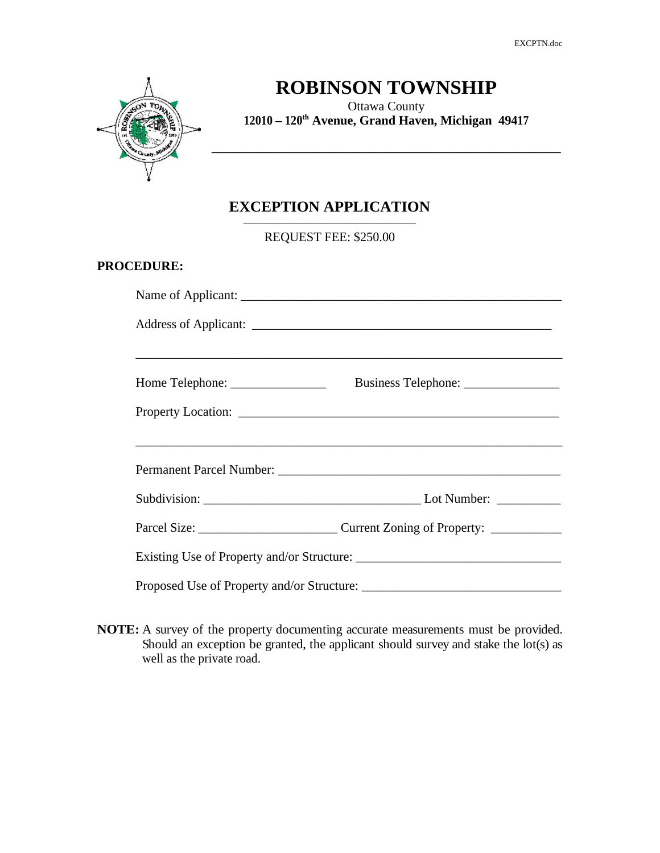EXCPTN.doc

\_\_\_\_\_\_\_\_\_\_\_\_\_\_\_\_\_\_\_\_\_\_\_\_\_\_\_\_\_\_\_\_\_\_\_\_\_\_\_\_



# **ROBINSON TOWNSHIP**

Ottawa County **12010 120th Avenue, Grand Haven, Michigan 49417**

## **EXCEPTION APPLICATION**

REQUEST FEE: \$250.00

#### **PROCEDURE:**

| Home Telephone: ________________ |                                                                                                                                                                                                                                |  |  |  |
|----------------------------------|--------------------------------------------------------------------------------------------------------------------------------------------------------------------------------------------------------------------------------|--|--|--|
|                                  |                                                                                                                                                                                                                                |  |  |  |
|                                  | ,我们也不能在这里的时候,我们也不能在这里的时候,我们也不能会在这里的时候,我们也不能会在这里的时候,我们也不能会在这里的时候,我们也不能会在这里的时候,我们也                                                                                                                                               |  |  |  |
|                                  | Permanent Parcel Number: Lawrence and Contract Contract Contract Contract Contract Contract Contract Contract Contract Contract Contract Contract Contract Contract Contract Contract Contract Contract Contract Contract Cont |  |  |  |
|                                  | $\_$ Lot Number: $\_\_$                                                                                                                                                                                                        |  |  |  |
|                                  |                                                                                                                                                                                                                                |  |  |  |
|                                  |                                                                                                                                                                                                                                |  |  |  |
|                                  |                                                                                                                                                                                                                                |  |  |  |

**NOTE:** A survey of the property documenting accurate measurements must be provided. Should an exception be granted, the applicant should survey and stake the lot(s) as well as the private road.